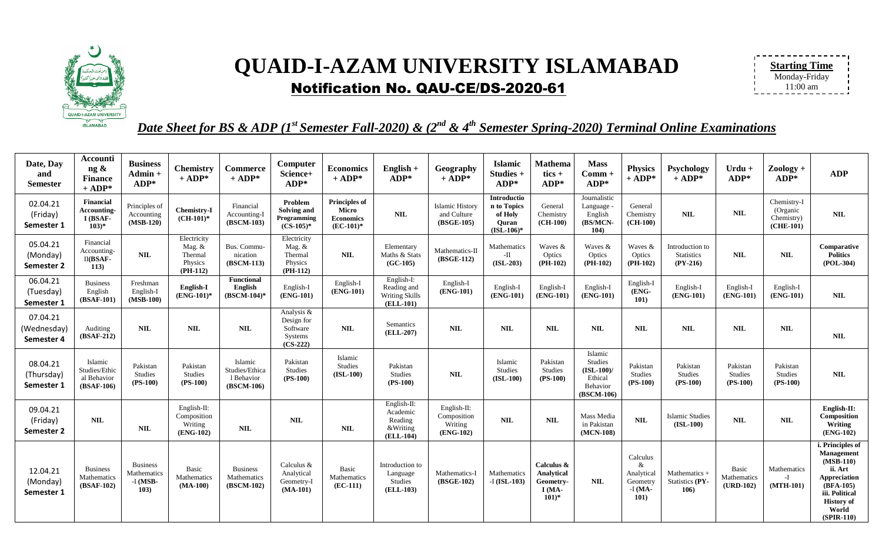

## **QUAID-I-AZAM UNIVERSITY ISLAMABAD** Notification No. QAU-CE/DS-2020-61

| <b>Starting Time</b> |  |
|----------------------|--|
|                      |  |
| Monday-Friday        |  |
|                      |  |
| $11:00 \text{ am}$   |  |
|                      |  |

*Date Sheet for BS & ADP (1st Semester Fall-2020) & (2nd & 4th Semester Spring-2020) Terminal Online Examinations*

| Date, Day<br>and<br><b>Semester</b>   | <b>Accounti</b><br>ng &<br><b>Finance</b><br>$+$ ADP* | <b>Business</b><br>$Admin +$<br>$ADP*$               | <b>Chemistry</b><br>$+$ ADP*                              | <b>Commerce</b><br>$+$ ADP*                           | Computer<br>Science+<br>$ADP*$                                | <b>Economics</b><br>$+$ ADP*                                      | $English +$<br>$ADP*$                                       | Geography<br>$+$ ADP*                                 | <b>Islamic</b><br>Studies +<br>$ADP*$                          | Mathema<br>tics $+$<br>$ADP*$                               | <b>Mass</b><br>$Comm+$<br>$ADP*$                                              | <b>Physics</b><br>$+$ ADP*                                           | Psychology<br>$+$ ADP*                             | Urdu +<br>$ADP*$                    | $Zoology +$<br>$ADP*$                                | <b>ADP</b>                                                                                                                                                   |
|---------------------------------------|-------------------------------------------------------|------------------------------------------------------|-----------------------------------------------------------|-------------------------------------------------------|---------------------------------------------------------------|-------------------------------------------------------------------|-------------------------------------------------------------|-------------------------------------------------------|----------------------------------------------------------------|-------------------------------------------------------------|-------------------------------------------------------------------------------|----------------------------------------------------------------------|----------------------------------------------------|-------------------------------------|------------------------------------------------------|--------------------------------------------------------------------------------------------------------------------------------------------------------------|
| 02.04.21<br>(Friday)<br>Semester 1    | Financial<br>Accounting-<br>I (BSAF-<br>$103)*$       | Principles of<br>Accounting<br>$(MSB-120)$           | Chemistry-I<br>$(CH-101)^*$                               | Financial<br>Accounting-I<br>(BSCM-103)               | Problem<br>Solving and<br>Programming<br>$(CS-105)^*$         | <b>Principles of</b><br>Micro<br><b>Economics</b><br>$(EC-101)^*$ | <b>NIL</b>                                                  | <b>Islamic History</b><br>and Culture<br>$(BSGE-105)$ | Introductio<br>n to Topics<br>of Holy<br>Quran<br>$(ISL-106)*$ | General<br>Chemistry<br>$(CH-100)$                          | Journalistic<br>Language -<br>English<br>(BS/MCN<br>104)                      | General<br>Chemistry<br>$(CH-100)$                                   | <b>NIL</b>                                         | <b>NIL</b>                          | Chemistry-I<br>(Organic<br>Chemistry)<br>$(CHE-101)$ | <b>NIL</b>                                                                                                                                                   |
| 05.04.21<br>(Monday)<br>Semester 2    | Financial<br>Accounting-<br>$II(BSAF-$<br>113)        | <b>NIL</b>                                           | Electricity<br>Mag. &<br>Thermal<br>Physics<br>$(PH-112)$ | Bus. Commu-<br>nication<br>(BSCM-113)                 | Electricity<br>Mag. &<br>Thermal<br>Physics<br>$(PH-112)$     | NIL                                                               | Elementary<br>Maths & Stats<br>$(GC-105)$                   | Mathematics-II<br>(BSGE-112)                          | Mathematics<br>-П<br>$(ISL-203)$                               | Waves &<br>Optics<br>$(PH-102)$                             | Waves &<br>Optics<br>$(PH-102)$                                               | Waves &<br>Optics<br>$(PH-102)$                                      | Introduction to<br><b>Statistics</b><br>$(PY-216)$ | <b>NIL</b>                          | <b>NIL</b>                                           | Comparative<br><b>Politics</b><br>$(POL-304)$                                                                                                                |
| 06.04.21<br>(Tuesday)<br>Semester 1   | <b>Business</b><br>English<br>(BSAF-101)              | Freshman<br>English-I<br>$(MSB-100)$                 | English-I<br>$(ENG-101)*$                                 | Functional<br>English<br>$(BSCM-104)$ *               | English-I<br>(ENG-101)                                        | English-I<br>(ENG-101)                                            | English-I:<br>Reading and<br>Writing Skills<br>(ELL-101)    | English-I<br>(ENG-101)                                | English-I<br>$(ENG-101)$                                       | English-I<br>(ENG-101)                                      | English-I<br>(ENG-101)                                                        | English-I<br>(ENG-<br>101)                                           | English-I<br>(ENG-101)                             | English-I<br>(ENG-101)              | English-I<br>(ENG-101)                               | NIL                                                                                                                                                          |
| 07.04.21<br>(Wednesday)<br>Semester 4 | Auditing<br>(BSAF-212)                                | NIL                                                  | NIL                                                       | <b>NIL</b>                                            | Analysis &<br>Design for<br>Software<br>Systems<br>$(CS-222)$ | NIL                                                               | Semantics<br>(ELL-207)                                      | <b>NIL</b>                                            | NIL                                                            | <b>NIL</b>                                                  | <b>NIL</b>                                                                    | <b>NIL</b>                                                           | <b>NIL</b>                                         | <b>NIL</b>                          | <b>NIL</b>                                           | NIL                                                                                                                                                          |
| 08.04.21<br>(Thursday)<br>Semester 1  | Islamic<br>Studies/Ethic<br>al Behavior<br>(BSAF-106) | Pakistan<br><b>Studies</b><br>$(PS-100)$             | Pakistan<br>Studies<br>$(PS-100)$                         | Islamic<br>Studies/Ethica<br>1 Behavior<br>(BSCM-106) | Pakistan<br><b>Studies</b><br>$(PS-100)$                      | Islamic<br>Studies<br>$(ISL-100)$                                 | Pakistan<br><b>Studies</b><br>$(PS-100)$                    | <b>NIL</b>                                            | Islamic<br>Studies<br>$(ISL-100)$                              | Pakistan<br>Studies<br>$(PS-100)$                           | Islamic<br><b>Studies</b><br>$(ISL-100)$<br>Ethical<br>Behavior<br>(BSCM-106) | Pakistan<br><b>Studies</b><br>$(PS-100)$                             | Pakistan<br>Studies<br>$(PS-100)$                  | Pakistan<br>Studies<br>$(PS-100)$   | Pakistan<br>Studies<br>$(PS-100)$                    | <b>NIL</b>                                                                                                                                                   |
| 09.04.21<br>(Friday)<br>Semester 2    | <b>NIL</b>                                            | <b>NIL</b>                                           | English-II:<br>Composition<br>Writing<br>(ENG-102)        | <b>NIL</b>                                            | <b>NIL</b>                                                    | <b>NIL</b>                                                        | English-II:<br>Academic<br>Reading<br>&Writing<br>(ELL-104) | English-II:<br>Composition<br>Writing<br>(ENG-102)    | <b>NIL</b>                                                     | <b>NIL</b>                                                  | Mass Media<br>in Pakistan<br>$(MCN-108)$                                      | <b>NIL</b>                                                           | Islamic Studies<br>$(ISL-100)$                     | <b>NIL</b>                          | <b>NIL</b>                                           | English-II:<br>Composition<br>Writing<br>$(ENG-102)$                                                                                                         |
| 12.04.21<br>(Monday)<br>Semester 1    | <b>Business</b><br>Mathematics<br>(BSAF-102)          | <b>Business</b><br>Mathematics<br>$-I$ (MSB-<br>103) | <b>Basic</b><br>Mathematics<br>$(MA-100)$                 | <b>Business</b><br>Mathematics<br>(BSCM-102)          | Calculus $&$<br>Analytical<br>Geometry-I<br>$(MA-101)$        | Basic<br>Mathematics<br>$(EC-111)$                                | Introduction to<br>Language<br>Studies<br>(ELL-103)         | Mathematics-I<br>(BSGE-102)                           | Mathematics<br>$-I$ (ISL-103)                                  | Calculus &<br>Analytical<br>Geometry-<br>$I(MA-$<br>$101)*$ | <b>NIL</b>                                                                    | Calculus<br>&<br>Analytical<br>Geometry<br>$-I$ (MA-<br><b>101</b> ) | Mathematics +<br><b>Statistics (PY-</b><br>106)    | Basic<br>Mathematics<br>$(URD-102)$ | Mathematics<br>$-I$<br>$(MTH-101)$                   | i. Principles of<br>Management<br>$(MSB-110)$<br>ii. Art<br><b>Appreciation</b><br>$(BFA-105)$<br>iii. Political<br><b>History of</b><br>World<br>(SPIR-110) |